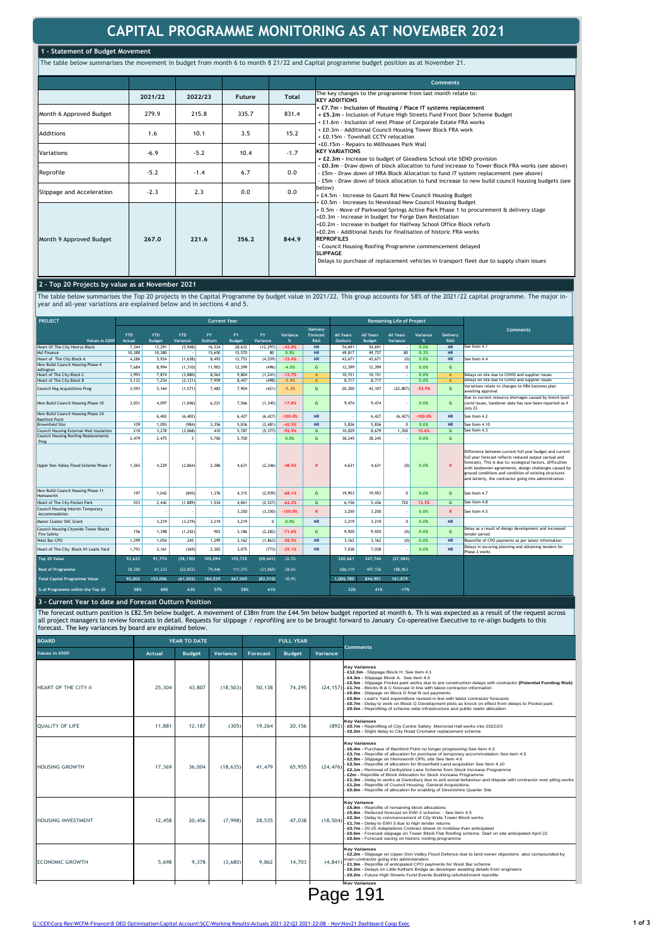# **CAPITAL PROGRAMME MONITORING AS AT NOVEMBER 2021**

### **1 - Statement of Budget Movement**

The table below summarises the movement in budget from month 6 to month 8 21/22 and Capital programme budget position as at November 21.

|                           |         |         |        |        | <b>Comments</b>                                                                                                                                                                                                                                                                                                                                                                                                                                                                          |
|---------------------------|---------|---------|--------|--------|------------------------------------------------------------------------------------------------------------------------------------------------------------------------------------------------------------------------------------------------------------------------------------------------------------------------------------------------------------------------------------------------------------------------------------------------------------------------------------------|
|                           | 2021/22 | 2022/23 | Future | Total  | The key changes to the programme from last month relate to:<br><b>KEY ADDITIONS</b>                                                                                                                                                                                                                                                                                                                                                                                                      |
| Month 6 Approved Budget   | 279.9   | 215.8   | 335.7  | 831.4  | + £7,7m - Inclusion of Housing / Place IT systems replacement<br>+ £5.2m - Inclusion of Future High Streets Fund Front Door Scheme Budget<br>+ £1.6m - Inclusion of next Phase of Corporate Estate FRA works                                                                                                                                                                                                                                                                             |
| <b>Additions</b>          | 1.6     | 10.1    | 3.5    | 15.2   | + £0.3m - Additional Council Housing Tower Block FRA work<br>+ £0.15m - Townhall CCTV relocation                                                                                                                                                                                                                                                                                                                                                                                         |
| Variations                | $-6.9$  | $-5.2$  | 10.4   | $-1.7$ | +£0.15m - Repairs to Millhouses Park Wall<br><b>KEY VARIATIONS</b><br>+ £2.3m - Increase to budget of Gleadless School site SEND provision                                                                                                                                                                                                                                                                                                                                               |
| Reprofile                 | $-5.2$  | $-1.4$  | 6.7    | 0.0    | - £0.3m - Draw down of block allocation to fund increase to Tower Block FRA works (see above)<br>£5m - Draw down of HRA Block Allocation to fund IT system replacement (see above)<br>£5m - Draw down of block allocation to fund increase to new build council housing budgets (see                                                                                                                                                                                                     |
| Slippage and Acceleration | $-2.3$  | 2.3     | 0.0    | 0.0    | below)<br>+ £4.5m - Increase to Gaunt Rd New Council Housing Budget<br>E0.5m - Increases to Newstead New Council Housing Budget                                                                                                                                                                                                                                                                                                                                                          |
| Month 9 Approved Budget   | 267.0   | 221.6   | 356.2  | 844.9  | + 0.5m - Move of Parkwood Springs Active Park Phase 1 to procurement & delivery stage<br>+£0.3m - Increase in budget for Forge Dam Restotation<br>+£0.2m - Increase in budget for Halfway School Office Block refurb<br>+£0.2m - Additional funds for finalisation of historic FRA works<br><b>REPROFILES</b><br>- Council Housing Roofing Programme commencement delayed<br><b>SLIPPAGE</b><br>Delays to purchase of replacement vehicles in transport fleet due to supply chain issues |

## **2 - Top 20 Projects by value as at November 2021**

The table below summarises the Top 20 projects in the Capital Programme by budget value in 2021/22. This group accounts for 58% of the 2021/22 capital programme. The major in-<br>year and all-year variations are explained bel

| <b>PROJECT</b>                                              | <b>Current Year</b>         |                             |                        |                      |                            |                       |                                   | <b>Remaining Life of Project</b> |                              |                                   |                              |                       |                         |                                                                                                                                                                                                                                                                                                                                                                |
|-------------------------------------------------------------|-----------------------------|-----------------------------|------------------------|----------------------|----------------------------|-----------------------|-----------------------------------|----------------------------------|------------------------------|-----------------------------------|------------------------------|-----------------------|-------------------------|----------------------------------------------------------------------------------------------------------------------------------------------------------------------------------------------------------------------------------------------------------------------------------------------------------------------------------------------------------------|
|                                                             |                             |                             |                        |                      |                            |                       |                                   | Delivery                         |                              |                                   |                              |                       |                         | <b>Comments</b>                                                                                                                                                                                                                                                                                                                                                |
| Values in £000                                              | <b>YTD</b><br><b>Actual</b> | <b>YTD</b><br><b>Budget</b> | <b>YTD</b><br>Variance | <b>FY</b><br>Outturn | <b>FY</b><br><b>Budget</b> | <b>FY</b><br>Variance | Variance<br>$\boldsymbol{\alpha}$ | Forecast<br><b>RAG</b>           | <b>All Years</b><br>Outturn. | <b>All Years</b><br><b>Budget</b> | <b>All Years</b><br>Variance | Variance<br>$\propto$ | Delivery<br><b>RAG</b>  |                                                                                                                                                                                                                                                                                                                                                                |
| Heart Of The City Henrys Block                              | 7,344                       | 13.291                      | (5, 948)               | 16.334               | 28,632                     | (12, 297)             | $-43.0%$                          | <b>NR</b>                        | 54,691                       | 54,691                            |                              | 0.0%                  | <b>NR</b>               | See Item 4.1                                                                                                                                                                                                                                                                                                                                                   |
| Msf Finance                                                 | 10,380                      | 10.380                      |                        | 15.650               | 15.570                     | 80                    | 0.5%                              | <b>NR</b>                        | 49.817                       | 49.737                            | 80                           | 0.2%                  | <b>NR</b>               |                                                                                                                                                                                                                                                                                                                                                                |
| Heart of The City Block A                                   | 4.286                       | 5.924                       | (1,638)                | 8.493                | 12,753                     | (4, 259)              | $-33.4%$                          | <b>NR</b>                        | 43.671                       | 43.671                            | (0)                          | 0.0%                  | <b>NR</b>               | See Item 4.4                                                                                                                                                                                                                                                                                                                                                   |
| New Build Council Housing Phase 4                           | 7.684                       | 8.994                       | (1, 310)               | 11.903               | 12.399                     | (496)                 | $-4.0%$                           | G                                | 12.399                       | 12.399                            | $\Omega$                     | 0.0%                  | G                       |                                                                                                                                                                                                                                                                                                                                                                |
| Adlington<br>Heart of The City Block C                      | 3.993                       | 7.874                       | (3,880)                | 8.563                | 9.804                      | (1, 241)              | $-12.7%$                          | $\mathbf{A}$                     | 10.151                       | 10.151                            | $\overline{\phantom{a}}$     | 0.0%                  | $\Lambda$               | Delays on site due to COVID and supplier issues                                                                                                                                                                                                                                                                                                                |
| Heart of The City Block B                                   | 5.132                       | 7.254                       | (2.121)                | 7.959                | 8.457                      | (498)                 | $-5.9%$                           | Δ                                | 8.717                        | 8.717                             | ٠.                           | 0.0%                  | $\Lambda$               | Delays on site due to COVID and supplier issues                                                                                                                                                                                                                                                                                                                |
| <b>Council Hsg Acquisitions Prog</b>                        | 3.593                       | 5.164                       | (1, 571)               | 7.483                | 7.904                      | (421)                 | $-5.3%$                           | G                                | 20,300                       | 43.107                            | (22, 807)                    | $-52.9%$              | G                       | Variations relate to changes to HRA business plan<br>awaiting approval                                                                                                                                                                                                                                                                                         |
| New Build Council Housing Phase 10                          | 3.051                       | 4.097                       | (1,046)                | 6,221                | 7.566                      | (1, 345)              | $-17.8%$                          | G                                | 9.474                        | 9.474                             |                              | 0.0%                  | G                       | Due to current resource shortages caused by brexit/post<br>covid issues, handover date has now been reported as 4<br>July 22                                                                                                                                                                                                                                   |
| New Build Council Housing Phase 24<br><b>Bamford Point</b>  |                             | 6.402                       | (6.402)                |                      | 6.427                      | (6.427)               | $-100.0%$                         | <b>NR</b>                        |                              | 6.427                             | (6.427)                      | $-100.0%$             | <b>NR</b>               | See Item 4.2                                                                                                                                                                                                                                                                                                                                                   |
| <b>Brownfield Site</b>                                      | 109                         | 1.093                       | (984)                  | 3.356                | 5.836                      | (2.481)               | $-42.5%$                          | <b>NR</b>                        | 5.836                        | 5.836                             | $\mathbf{0}$                 | 0.0%                  | <b>NR</b>               | See Item 4.10                                                                                                                                                                                                                                                                                                                                                  |
| Council Housing External Wall Insulation                    | 210                         | 3.278                       | (3.068)                | 410                  | 5,787                      | (5, 377)              | $-92.9%$                          | G                                | 10.029                       | 8.679                             | 1.350                        | 15.6%                 | G.                      | See Item 4.3                                                                                                                                                                                                                                                                                                                                                   |
| <b>Council Housing Roofing Replacements</b><br>Prog         | 2.479                       | 2.475                       | -3                     | 5.700                | 5.700                      |                       | 0.0%                              | G                                | 38.245                       | 38.245                            |                              | 0.0%                  | G                       |                                                                                                                                                                                                                                                                                                                                                                |
| Upper Don Valley Flood Scheme Phase 1                       | 1.365                       | 4,229                       | (2, 864)               | 2,386                | 4,631                      | (2, 246)              | $-48.5%$                          | R                                | 4,631                        | 4,631                             | (0)                          | 0.0%                  | $\overline{\mathbf{R}}$ | Difference between current full year budget and current<br>full year forecast reflects reduced output (actual and<br>forecast). This is due to: ecological factors, difficulties<br>with landowner agreements, design challenges caused by<br>ground conditions and condition of existing structures<br>and latterly, the contractor going into administration |
| New Build Council Housing Phase 11<br>Hemsowrth             | 197                         | 1.042                       | (845)                  | 1.376                | 4.315                      | (2.939)               | $-68.1%$                          | G.                               | 19.953                       | 19.953                            | $\Omega$                     | 0.0%                  | G                       | See Item 4.7                                                                                                                                                                                                                                                                                                                                                   |
| Heart of The City Pocket Park                               | 553                         | 2.442                       | (1.889)                | 1.534                | 4.061                      | (2.527)               | $-62.2%$                          | G                                | 6.156                        | 5.436                             | 720                          | 13.3%                 | G                       | See item 4.8                                                                                                                                                                                                                                                                                                                                                   |
| Council Housing Interim Temporary<br>Accommodation          |                             |                             |                        |                      | 3,250                      | (3, 250)              | $-100.0%$                         | R.                               | 3,250                        | 3,250                             | ٠.                           | 0.0%                  | R                       | See Item 4.5                                                                                                                                                                                                                                                                                                                                                   |
| Manor Cluster SHC Grant                                     |                             | 3.219                       | (3, 219)               | 3,219                | 3,219                      | $\Omega$              | 0.0%                              | <b>NR</b>                        | 3.219                        | 3.219                             | $\Omega$                     | 0.0%                  | <b>NR</b>               |                                                                                                                                                                                                                                                                                                                                                                |
| Council Housing Citywide Tower Blocks<br><b>Fire Safety</b> | 156                         | 1.398                       | (1, 242)               | 903                  | 3,186                      | (2, 282)              | $-71.6%$                          | G                                | 9,920                        | 9.920                             | (0)                          | 0.0%                  | G                       | Delay as a result of design development and increased<br>tender period                                                                                                                                                                                                                                                                                         |
| West Bar CPO                                                | 1.299                       | 1.054                       | 245                    | 1.299                | 3.162                      | (1, 863)              | $-58.9%$                          | <b>NR</b>                        | 3.162                        | 3.162                             | (0)                          | 0.0%                  | <b>NR</b>               | Reprofile of CPO payments as per latest information                                                                                                                                                                                                                                                                                                            |
| Heart of The City Block H1 Leahs Yard                       | 1.793                       | 2.161                       | (369)                  | 2,302                | 3,075                      | (773)                 | $-25.1%$                          | <b>NR</b>                        | 7,038                        | 7,038                             |                              | 0.0%                  | <b>NR</b>               | Delays in securing planning and obtaining tenders for<br>Phase 2 works                                                                                                                                                                                                                                                                                         |
| Top 20 Value                                                | 53.623                      | 91.774                      | (38.150)               | 105.094              | 155.735                    | (50.641)              | $-32.5%$                          |                                  | 320.661                      | 347.744                           | (27.084)                     |                       |                         |                                                                                                                                                                                                                                                                                                                                                                |
| <b>Rest of Programme</b>                                    | 38,380                      | 61.233                      | (22.853)               | 79.446               | 111.315                    | (31.869)              | $-28.6%$                          |                                  | 686.119                      | 497.156                           | 188.963                      |                       |                         |                                                                                                                                                                                                                                                                                                                                                                |
| <b>Total Capital Programme Value</b>                        | 92.003                      | 153.006                     | (61.003)               | 184,539              | 267.049                    | (82, 510)             | $-30.9%$                          |                                  | 1,006,780                    | 844.901                           | 161,879                      |                       |                         |                                                                                                                                                                                                                                                                                                                                                                |
| % of Programme within the Top 20                            | 58%                         | 60%                         | 63%                    | 57%                  | 58%                        | 61%                   |                                   |                                  | 32%                          | 41%                               | $-17%$                       |                       |                         |                                                                                                                                                                                                                                                                                                                                                                |

### **3 - Current Year to date and Forecast Outturn Position**

The forecast outturn position is £82.5m below budget. A movement of £38m from the £44.5m below budget reported at month 6. Th is was expected as a result of the request across<br>all project managers to review forecasts in de

| <b>BOARD</b>                     |               | YEAR TO DATE  |           | <b>FULL YEAR</b> |               |           |                                                                                                                                                                                                                                                                                                                                                                                                                                                                                                                                                                                                                                                                                                                                         |  |  |
|----------------------------------|---------------|---------------|-----------|------------------|---------------|-----------|-----------------------------------------------------------------------------------------------------------------------------------------------------------------------------------------------------------------------------------------------------------------------------------------------------------------------------------------------------------------------------------------------------------------------------------------------------------------------------------------------------------------------------------------------------------------------------------------------------------------------------------------------------------------------------------------------------------------------------------------|--|--|
| Values in £000                   | <b>Actual</b> | <b>Budget</b> | Variance  | Forecast         | <b>Budget</b> | Variance  | Comments                                                                                                                                                                                                                                                                                                                                                                                                                                                                                                                                                                                                                                                                                                                                |  |  |
| HEART OF THE CITY II             | 25,304        | 43,807        | (18, 503) | 50.138           | 74,295        |           | <b>Key Variances</b><br>£12.3m - Slippage Block H. See Item 4.1<br>£4.3m - Slippage Block A. See Item 4.5<br>£2.5m - Slippage Pocket park works due to pre construction delays with contractor (Potential Funding Risk)<br>(24,157) - £1.7m - Blocks B & C forecast in line with latest contractor information<br>£0.8m - Slippage on Block D final fit out payments<br>£0.8m - Leah's Yard expenditure revised in line with latest contractor forecasts<br>£0.7m - Delay to work on Block G Development plots as knock on effect from delays to Pocket park<br>£0.5m - Reprofiling of scheme wide infrastructure and public realm allocation                                                                                           |  |  |
| <b>OUALITY OF LIFE</b>           | 11,881        | 12,187        | (305)     | 19,264           | 20,156        |           | <b>Kev Variances</b><br>(892) - £0.7m - Reprofiling of City Centre Safety Memorial Hall works into 2022/23<br>£0.2m - Slight delay to City Road Cremator replacement scheme                                                                                                                                                                                                                                                                                                                                                                                                                                                                                                                                                             |  |  |
| <b>HOUSING GROWTH</b>            | 17,369        | 36,004        | (18, 635) | 41,479           | 65,955        | (24.476)  | <b>Kev Variances</b><br>£6.4m - Purchase of Bamford Point no longer progressing See Item 4.2<br>£3.7m - Reprofile of allocation for purchase of temporary accommodation See item 4.5<br>£2.9m - Slippage on Hemsworth OPIL site See Item 4.6<br>£2.5m - Reprofile of allocation for Brownfield Land acquisition See Item 4.10<br>£2.1m - Removal of Derbyshire Lane Scheme from Stock Increase Programme<br>£2m - Reprofile of Block Allocation for Stock Increase Programme<br>£1.3m - Delay to works at Daresbury due to anti social behaviour and dispute with contractor over piling works<br>£1.2m - Reprofile of Council Housing General Acquisitions.<br>£0.9m - Reprofile of allocation for enabling of Devonshire Quarter Site |  |  |
| <b>HOUSING INVESTMENT</b>        | 12,458        | 20,456        | (7,998)   | 28,535           | 47,038        | (18, 504) | <b>Key Variance</b><br>£5.9m - Reprofile of remaining block allocations<br>£5.8m - Reduced forecast on EWI 2 scheme. - See Item 4.3<br>£2.3m - Delay to commencement of City Wide Tower Block works<br>- £1.7m - Delay to EWI 3 due to high tender returns<br>£0.7m - 20-25 Adaptations Contract slower to mobilise than anticipated<br>£0.6m - Forecast slippage on Tower Block Flat Roofing scheme. Start on site anticipated April 22<br>£0.6m - Forecast saving on historic roofing programme                                                                                                                                                                                                                                       |  |  |
| <b>ECONOMIC GROWTH</b>           | 5.698         | 9,378         | (3,680)   | 9,862            | 14,703        | (4, 841)  | <b>Key Variances</b><br>£2.2m - Slippage on Upper Don Valley Flood Defence due to land owner objections also compounded by<br>main contractor going into administration.<br>- £1.9m - Reprofile of anticipated CPO payments for West Bar scheme<br>£0.2m - Delays on Little Kelham Bridge as developer awaiting details from engineers<br>£0.2m - Future High Streets Fund Events Building refurbishment reprofile                                                                                                                                                                                                                                                                                                                      |  |  |
| <b>Key Variances</b><br>Page 191 |               |               |           |                  |               |           |                                                                                                                                                                                                                                                                                                                                                                                                                                                                                                                                                                                                                                                                                                                                         |  |  |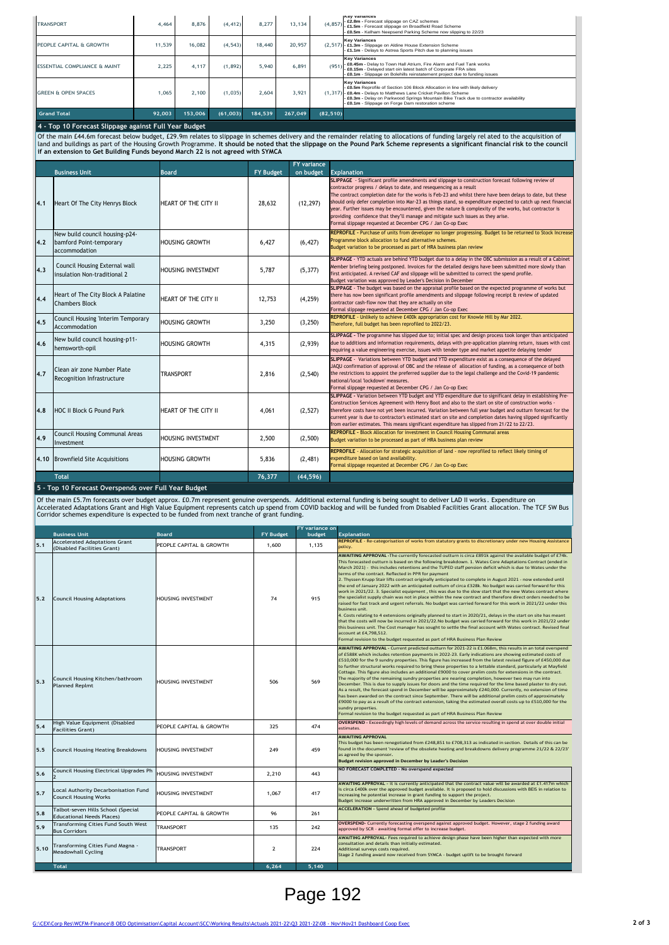| <b>Grand Total</b>                      | 92,003 | 153,006 | (61,003) | 184.539 | 267,049 | (82, 510) |                                                                                                                                                                                                                                                                                                                             |
|-----------------------------------------|--------|---------|----------|---------|---------|-----------|-----------------------------------------------------------------------------------------------------------------------------------------------------------------------------------------------------------------------------------------------------------------------------------------------------------------------------|
| <b>GREEN &amp; OPEN SPACES</b>          | 1.065  | 2,100   | (1.035)  | 2.604   | 3.921   |           | <b>Key Variances</b><br>- £0.5m Reprofile of Section 106 Block Allocation in line with likely delivery<br>(1,317) - £0.4m - Delays to Matthews Lane Cricket Pavilion Scheme<br>- £0.3m - Delay on Parkwood Springs Mountain Bike Track due to contractor availability<br>- £0.1m - Slippage on Forge Dam restoration scheme |
| <b>ESSENTIAL COMPLIANCE &amp; MAINT</b> | 2,225  | 4,117   | (1,892)  | 5.940   | 6,891   | (951)     | <b>Kev Variances</b><br>- £0.45m - Delay to Town Hall Atrium, Fire Alarm and Fuel Tank works<br>- £0.15m - Delaved start oin latest batch of Corporate FRA sites<br>E0.1m - Slippage on Bolehills reinstatement project due to funding issues                                                                               |
| PEOPLE CAPITAL & GROWTH                 | 11.539 | 16,082  | (4, 543) | 18,440  | 20,957  |           | <b>Key Variances</b><br>(2,517) - £1.3m - Slippage on Aldine House Extension Scheme<br>- £1.1m - Delays to Astrea Sports Pitch due to planning issues                                                                                                                                                                       |
| <b>TRANSPORT</b>                        | 4.464  | 8.876   | (4, 412) | 8.277   | 13.134  | (4, 857)  | ney variances<br>- £2.8m - Forecast slippage on CAZ schemes<br>- £1.5m - Forecast slippage on Broadfield Road Scheme<br>- £0.5m - Kelham Neepsend Parking Scheme now slipping to 22/23                                                                                                                                      |

**4 - Top 10 Forecast Slippage against Full Year Budget** 

Of the main £44.6m forecast below budget, £29.9m relates to slippage in schemes delivery and the remainder relating to allocations of funding largely rel ated to the acquisition of<br>land and buildings as part of the Housing

|     |                                                                            |                           |                  | <b>FY</b> variance |                                                                                                                                                                                                                                                                                                                                                                                                                                                                                                                                                                                                                                                                    |
|-----|----------------------------------------------------------------------------|---------------------------|------------------|--------------------|--------------------------------------------------------------------------------------------------------------------------------------------------------------------------------------------------------------------------------------------------------------------------------------------------------------------------------------------------------------------------------------------------------------------------------------------------------------------------------------------------------------------------------------------------------------------------------------------------------------------------------------------------------------------|
|     | <b>Business Unit</b>                                                       | <b>Board</b>              | <b>FY Budget</b> | on budget          | <b>Explanation</b>                                                                                                                                                                                                                                                                                                                                                                                                                                                                                                                                                                                                                                                 |
| 4.1 | Heart Of The City Henrys Block                                             | HEART OF THE CITY II      | 28,632           | (12, 297)          | SLIPPAGE - Significant profile amendments and slippage to construction forecast following review of<br>contractor progress / delays to date, and resequencing as a result<br>The contract completion date for the works is Feb-23 and whilst there have been delays to date, but these<br>should only defer completion into Mar-23 as things stand, so expenditure expected to catch up next financial<br>year. Further issues may be encountered, given the nature & complexity of the works, but contractor is<br>providing confidence that they'll manage and mitigate such issues as they arise.<br>Formal slippage requested at December CPG / Jan Co-op Exec |
| 4.2 | New build council housing-p24-<br>bamford Point-temporary<br>accommodation | HOUSING GROWTH            | 6,427            | (6, 427)           | REPROFILE - Purchase of units from developer no longer progressing. Budget to be returned to Stock Increase<br>Programme block allocation to fund alternative schemes.<br>Budget variation to be processed as part of HRA business plan review                                                                                                                                                                                                                                                                                                                                                                                                                     |
| 4.3 | Council Housing External wall<br>insulation Non-traditional 2              | <b>HOUSING INVESTMENT</b> | 5.787            | (5, 377)           | SLIPPAGE - YTD actuals are behind YTD budget due to a delay in the OBC submission as a result of a Cabinet<br>Member briefing being postponed. Invoices for the detailed designs have been submitted more slowly than<br>first anticipated. A revised CAF and slippage will be submitted to correct the spend profile.<br>Budget variation was approved by Leader's Decision in December                                                                                                                                                                                                                                                                           |
| 4.4 | Heart of The City Block A Palatine<br><b>Chambers Block</b>                | HEART OF THE CITY II      | 12.753           | (4, 259)           | SLIPPAGE - The budget was based on the appraisal profile based on the expected programme of works but<br>there has now been significant profile amendments and slippage following receipt & review of updated<br>contractor cash-flow now that they are actually on site<br>Formal slippage requested at December CPG / Jan Co-op Exec                                                                                                                                                                                                                                                                                                                             |
| 4.5 | Council Housing 'Interim Temporary<br>Accommodation                        | <b>HOUSING GROWTH</b>     | 3,250            | (3, 250)           | REPROFILE - Unlikely to achieve £400k appropriation cost for Knowle Hill by Mar 2022.<br>Therefore, full budget has been reprofiled to 2022/23.                                                                                                                                                                                                                                                                                                                                                                                                                                                                                                                    |
| 4.6 | New build council housing-p11-<br>hemsworth-opil                           | <b>HOUSING GROWTH</b>     | 4.315            | (2.939)            | SLIPPAGE - The programme has slipped due to; initial spec and design process took longer than anticipated<br>due to additions and information requirements, delays with pre-application planning return, issues with cost<br>requiring a value engineering exercise, issues with tender type and market appetite delaying tender                                                                                                                                                                                                                                                                                                                                   |
| 4.7 | Clean air zone Number Plate<br>Recognition Infrastructure                  | <b>TRANSPORT</b>          | 2.816            | (2, 540)           | SLIPPAGE - Variations between YTD budget and YTD expenditure exist as a consequence of the delayed<br>JAQU confirmation of approval of OBC and the release of allocation of funding, as a consequence of both<br>the restrictions to appoint the preferred supplier due to the legal challenge and the Covid-19 pandemic<br>national/local 'lockdown' measures.<br>Formal slippage requested at December CPG / Jan Co-op Exec                                                                                                                                                                                                                                      |
| 4.8 | HOC II Block G Pound Park                                                  | HEART OF THE CITY II      | 4.061            | (2, 527)           | SLIPPAGE - Variation between YTD budget and YTD expenditure due to significant delay in establishing Pre-<br>Construction Services Agreement with Henry Boot and also to the start on site of construction works -<br>therefore costs have not yet been incurred. Variation between full year budget and outturn forecast for the<br>current year is due to contractor's estimated start on site and completion dates having slipped significantly<br>from earlier estimates. This means significant expenditure has slipped from 21/22 to 22/23.                                                                                                                  |
| 4.9 | Council Housing Communal Areas<br>Investment                               | <b>HOUSING INVESTMENT</b> | 2,500            | (2,500)            | <b>REPROFILE - Block Allocation for investment in Council Housing Communal areas</b><br>Budget variation to be processed as part of HRA business plan review                                                                                                                                                                                                                                                                                                                                                                                                                                                                                                       |
|     | 4.10 Brownfield Site Acquisitions                                          | <b>HOUSING GROWTH</b>     | 5,836            | (2, 481)           | REPROFILE - Allocation for strategic acquisition of land - now reprofiled to reflect likely timing of<br>expenditure based on land availability.<br>Formal slippage requested at December CPG / Jan Co-op Exec                                                                                                                                                                                                                                                                                                                                                                                                                                                     |
|     | <b>Total</b>                                                               |                           | 76,377           | (44, 596)          |                                                                                                                                                                                                                                                                                                                                                                                                                                                                                                                                                                                                                                                                    |

**5 - Top 10 Forecast Overspends over Full Year Budget**

Of the main £5.7m forecasts over budget approx. £0.7m represent genuine overspends. Additional external funding is being sought to deliver LAD II works. Expenditure on<br>Accelerated Adaptations Grant and High Value Equipment

|      | <b>Business Unit</b>                                                   | <b>Board</b>              | <b>FY Budget</b> | FY variance on<br>budget | <b>Explanation</b>                                                                                                                                                                                                                                                                                                                                                                                                                                                                                                                                                                                                                                                                                                                                                                                                                                                                                                                                                                                                                                                                                                                                                                                                                                                                                                                                                                                                                                        |
|------|------------------------------------------------------------------------|---------------------------|------------------|--------------------------|-----------------------------------------------------------------------------------------------------------------------------------------------------------------------------------------------------------------------------------------------------------------------------------------------------------------------------------------------------------------------------------------------------------------------------------------------------------------------------------------------------------------------------------------------------------------------------------------------------------------------------------------------------------------------------------------------------------------------------------------------------------------------------------------------------------------------------------------------------------------------------------------------------------------------------------------------------------------------------------------------------------------------------------------------------------------------------------------------------------------------------------------------------------------------------------------------------------------------------------------------------------------------------------------------------------------------------------------------------------------------------------------------------------------------------------------------------------|
| 5.1  | <b>Accelerated Adaptations Grant</b>                                   | PEOPLE CAPITAL & GROWTH   | 1,600            | 1,135                    | REPROFILE - Re-categorisation of works from statutory grants to discretionary under new Housing Assistance<br>policy.                                                                                                                                                                                                                                                                                                                                                                                                                                                                                                                                                                                                                                                                                                                                                                                                                                                                                                                                                                                                                                                                                                                                                                                                                                                                                                                                     |
| 5.2  | (Disabled Facilities Grant)<br><b>Council Housing Adaptations</b>      | HOUSING INVESTMENT        | 74               | 915                      | AWAITING APPROVAL - The currently forecasted outturn is circa £891k against the available budget of £74k.<br>This forecasted outturn is based on the following breakdown. 1. Wates Core Adaptations Contract (ended in<br>March 2021) - this includes retentions and the TUPED staff pension deficit which is due to Wates under the<br>terms of the contract. Reflected in PPR for payment<br>2. Thyssen Krupp Stair lifts contract originally anticipated to complete in August 2021 - now extended until<br>the end of January 2022 with an anticipated outturn of circa £328k. No budget was carried forward for this<br>work in 2021/22. 3. Specialist equipment, this was due to the slow start that the new Wates contract where<br>the specialist supply chain was not in place within the new contract and therefore direct orders needed to be<br>raised for fast track and urgent referrals. No budget was carried forward for this work in 2021/22 under this<br>business unit.<br>4. Costs relating to 4 extensions originally planned to start in 2020/21, delays in the start on site has meant<br>that the costs will now be incurred in 2021/22. No budget was carried forward for this work in 2021/22 under<br>this business unit. The Cost manager has sought to settle the final account with Wates contract. Revised final<br>account at £4,798.512.<br>Formal revision to the budget requested as part of HRA Business Plan Review |
| 5.3  | Council Housing Kitchen/bathroom<br><b>Planned Replmt</b>              | HOUSING INVESTMENT        | 506              | 569                      | AWAITING APPROVAL - Current predicted outturn for 2021-22 is £1.068m, this results in an total overspend<br>of £588K which includes retention payments in 2022-23. Early indications are showing estimated costs of<br>£510,000 for the 9 sundry properties. This figure has increased from the latest revised figure of £450,000 due<br>to further structural works required to bring these properties to a lettable standard, particularly at Mayfield<br>Cottage. This figure also includes an additional £9000 to cover prelim costs for extensions in the contract.<br>The majority of the remaining sundry properties are nearing completion, however two may run into<br>December. This is due to supply issues for doors and the time required for the lime based plaster to dry out.<br>As a result, the forecast spend in December will be approximately £240,000. Currently, no extension of time<br>has been awarded on the contract since September. There will be additional prelim costs of approximately<br>£9000 to pay as a result of the contract extension, taking the estimated overall costs up to £510,000 for the<br>sundry properties.<br>Formal revision to the budget requested as part of HRA Business Plan Review                                                                                                                                                                                                            |
| 5.4  | High Value Equipment (Disabled<br><b>Facilities Grant)</b>             | PEOPLE CAPITAL & GROWTH   | 325              | 474                      | OVERSPEND - Exceedingly high levels of demand across the service resulting in spend at over double initial<br>estimates.                                                                                                                                                                                                                                                                                                                                                                                                                                                                                                                                                                                                                                                                                                                                                                                                                                                                                                                                                                                                                                                                                                                                                                                                                                                                                                                                  |
| 5.5  | Council Housing Heating Breakdowns                                     | HOUSING INVESTMENT        | 249              | 459                      | <b>AWAITING APPROVAL</b><br>This budget has been renegotiated from £248,851 to £708,313 as indicated in section. Details of this can be<br>found in the document 'review of the obsolete heating and breakdowns delivery programme 21/22 & 22/23'<br>as agreed by the sponsor.<br><b>Budget revision approved in December by Leader's Decision</b>                                                                                                                                                                                                                                                                                                                                                                                                                                                                                                                                                                                                                                                                                                                                                                                                                                                                                                                                                                                                                                                                                                        |
| 5.6  | Council Housing Electrical Upgrades Ph                                 | <b>HOUSING INVESTMENT</b> | 2.210            | 443                      | NO FORECAST COMPLETED - No overspend expected                                                                                                                                                                                                                                                                                                                                                                                                                                                                                                                                                                                                                                                                                                                                                                                                                                                                                                                                                                                                                                                                                                                                                                                                                                                                                                                                                                                                             |
| 5.7  | Local Authority Decarbonisation Fund<br><b>Council Housing Works</b>   | HOUSING INVESTMENT        | 1.067            | 417                      | AWAITING APPROVAL - it is currently anticipated that the contract value will be awarded at £1.417m which<br>is circa £400k over the approved budget available. It is proposed to hold discussions with BEIS in relation to<br>increasing he potential increase in grant funding to support the project.<br>Budget increase underwritten from HRA approved in December by Leaders Decision                                                                                                                                                                                                                                                                                                                                                                                                                                                                                                                                                                                                                                                                                                                                                                                                                                                                                                                                                                                                                                                                 |
| 5.8  | Talbot-seven Hills School (Special<br><b>Educational Needs Places)</b> | PEOPLE CAPITAL & GROWTH   | 96               | 261                      | <b>ACCELERATION</b> - Spend ahead of budgeted profile                                                                                                                                                                                                                                                                                                                                                                                                                                                                                                                                                                                                                                                                                                                                                                                                                                                                                                                                                                                                                                                                                                                                                                                                                                                                                                                                                                                                     |
| 5.9  | Transforming Cities Fund South West<br><b>Bus Corridors</b>            | TRANSPORT                 | 135              | 242                      | OVERSPEND- Currently forecasting overspend against approved budget. However, stage 2 funding award<br>approved by SCR - awaiting formal offer to increase budget.                                                                                                                                                                                                                                                                                                                                                                                                                                                                                                                                                                                                                                                                                                                                                                                                                                                                                                                                                                                                                                                                                                                                                                                                                                                                                         |
| 5.10 | Transforming Cities Fund Magna -<br><b>Meadowhall Cycling</b>          | TRANSPORT                 | $\overline{2}$   | 224                      | AWAITING APPROVAL- Fees required to achieve design phase have been higher than expected with more<br>consultation and details than initially estimated.<br>Additional surveys costs required.<br>Stage 2 funding award now received from SYMCA - budget uplift to be brought forward                                                                                                                                                                                                                                                                                                                                                                                                                                                                                                                                                                                                                                                                                                                                                                                                                                                                                                                                                                                                                                                                                                                                                                      |
|      | <b>Total</b>                                                           |                           | 6.264            | 5.140                    |                                                                                                                                                                                                                                                                                                                                                                                                                                                                                                                                                                                                                                                                                                                                                                                                                                                                                                                                                                                                                                                                                                                                                                                                                                                                                                                                                                                                                                                           |

Page 192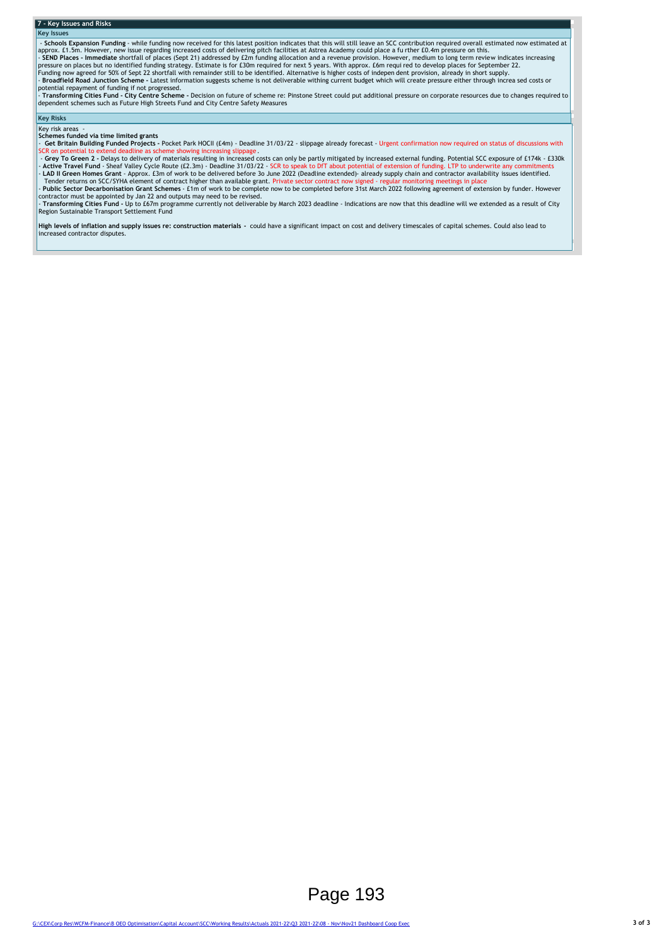### **7 - Key Issues and Risks**

**Key Issues**

- Schools Expansion Funding - while funding now received for this latest position indicates that this will still leave an SCC contribution required overall estimated now estimated at approx. 1.1.5m. However, new issue rega

dependent schemes such as Future High Streets Fund and City Centre Safety Measures

## **Key Risks**

### $Key$  risk areas **Schemes funded via time limited grants**

- Get Britain Building Funded Projects - Pocket Park HOCII (£4m) - Deadline 31/03/22 - slippage already forecast - Urgent confirmation now required on status of discussions with<br>SCR on potential to extend deadline as schem

iCR on potential to extend deadline as scheme showing increasing slippage .<br>- <mark>Grey To Green 2 -</mark> Delays to delivery of materials resulting in increased costs can only be partly mitigated by increased external funding. Pot - Active Travel Fund - Sheaf Valley Cycle Route (£2.3m) - Deadline 31/03/22 - SCR to speak to DfT about potential of extension of funding. LTP to underwrite any commitments<br>Tender returns on SCC/SYHA element of contract hi

- **Transforming Cities Fund -** Up to £67m programme currently not deliverable by March 2023 deadline - Indications are now that this deadline will we extended as a result of City<br>Region Sustainable Transport Settlement Fun

**High levels of inflation and supply issues re: construction materials -** could have a significant impact on cost and delivery timescales of capital schemes. Could also lead to increased contractor disputes.